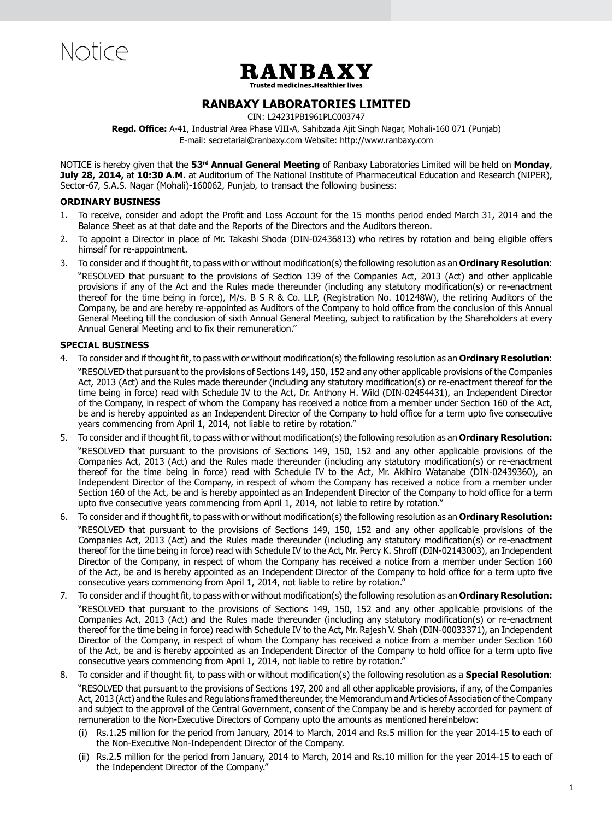Notice



**Trusted medicines. Healthier lives** 

# **Ranbaxy Laboratories Limited**

CIN: L24231PB1961PLC003747

**Regd. Office:** A-41, Industrial Area Phase VIII-A, Sahibzada Ajit Singh Nagar, Mohali-160 071 (Punjab) E-mail: secretarial@ranbaxy.com Website: http://www.ranbaxy.com

NOTICE is hereby given that the **53rd Annual General Meeting** of Ranbaxy Laboratories Limited will be held on **Monday**, **July 28, 2014,** at **10:30 A.M.** at Auditorium of The National Institute of Pharmaceutical Education and Research (NIPER), Sector-67, S.A.S. Nagar (Mohali)-160062, Punjab, to transact the following business:

### **ORDINARY BUSINESS**

- 1. To receive, consider and adopt the Profit and Loss Account for the 15 months period ended March 31, 2014 and the Balance Sheet as at that date and the Reports of the Directors and the Auditors thereon.
- 2. To appoint a Director in place of Mr. Takashi Shoda (DIN-02436813) who retires by rotation and being eligible offers himself for re-appointment.
- 3. To consider and if thought fit, to pass with or without modification(s) the following resolution as an **Ordinary Resolution**:

 "RESOLVED that pursuant to the provisions of Section 139 of the Companies Act, 2013 (Act) and other applicable provisions if any of the Act and the Rules made thereunder (including any statutory modification(s) or re-enactment thereof for the time being in force), M/s. B S R & Co. LLP, (Registration No. 101248W), the retiring Auditors of the Company, be and are hereby re-appointed as Auditors of the Company to hold office from the conclusion of this Annual General Meeting till the conclusion of sixth Annual General Meeting, subject to ratification by the Shareholders at every Annual General Meeting and to fix their remuneration."

# **SPECIAL BUSINESS**

- 4. To consider and if thought fit, to pass with or without modification(s) the following resolution as an **Ordinary Resolution**: "RESOLVED that pursuant to the provisions of Sections 149, 150, 152 and any other applicable provisions of the Companies Act, 2013 (Act) and the Rules made thereunder (including any statutory modification(s) or re-enactment thereof for the time being in force) read with Schedule IV to the Act, Dr. Anthony H. Wild (DIN-02454431), an Independent Director of the Company, in respect of whom the Company has received a notice from a member under Section 160 of the Act, be and is hereby appointed as an Independent Director of the Company to hold office for a term upto five consecutive years commencing from April 1, 2014, not liable to retire by rotation."
- 5. To consider and if thought fit, to pass with or without modification(s) the following resolution as an **Ordinary Resolution:** "RESOLVED that pursuant to the provisions of Sections 149, 150, 152 and any other applicable provisions of the Companies Act, 2013 (Act) and the Rules made thereunder (including any statutory modification(s) or re-enactment thereof for the time being in force) read with Schedule IV to the Act, Mr. Akihiro Watanabe (DIN-02439360), an Independent Director of the Company, in respect of whom the Company has received a notice from a member under Section 160 of the Act, be and is hereby appointed as an Independent Director of the Company to hold office for a term upto five consecutive years commencing from April 1, 2014, not liable to retire by rotation."
- 6. To consider and if thought fit, to pass with or without modification(s) the following resolution as an **Ordinary Resolution:** "RESOLVED that pursuant to the provisions of Sections 149, 150, 152 and any other applicable provisions of the Companies Act, 2013 (Act) and the Rules made thereunder (including any statutory modification(s) or re-enactment thereof for the time being in force) read with Schedule IV to the Act, Mr. Percy K. Shroff (DIN-02143003), an Independent Director of the Company, in respect of whom the Company has received a notice from a member under Section 160 of the Act, be and is hereby appointed as an Independent Director of the Company to hold office for a term upto five consecutive years commencing from April 1, 2014, not liable to retire by rotation."
- 7. To consider and if thought fit, to pass with or without modification(s) the following resolution as an **Ordinary Resolution:** "RESOLVED that pursuant to the provisions of Sections 149, 150, 152 and any other applicable provisions of the Companies Act, 2013 (Act) and the Rules made thereunder (including any statutory modification(s) or re-enactment thereof for the time being in force) read with Schedule IV to the Act, Mr. Rajesh V. Shah (DIN-00033371), an Independent Director of the Company, in respect of whom the Company has received a notice from a member under Section 160 of the Act, be and is hereby appointed as an Independent Director of the Company to hold office for a term upto five consecutive years commencing from April 1, 2014, not liable to retire by rotation."
- 8. To consider and if thought fit, to pass with or without modification(s) the following resolution as a **Special Resolution**: "RESOLVED that pursuant to the provisions of Sections 197, 200 and all other applicable provisions, if any, of the Companies Act, 2013 (Act) and the Rules and Regulations framed thereunder, the Memorandum and Articles of Association of the Company and subject to the approval of the Central Government, consent of the Company be and is hereby accorded for payment of remuneration to the Non-Executive Directors of Company upto the amounts as mentioned hereinbelow:
	- (i) Rs.1.25 million for the period from January, 2014 to March, 2014 and Rs.5 million for the year 2014-15 to each of the Non-Executive Non-Independent Director of the Company.
	- (ii) Rs.2.5 million for the period from January, 2014 to March, 2014 and Rs.10 million for the year 2014-15 to each of the Independent Director of the Company."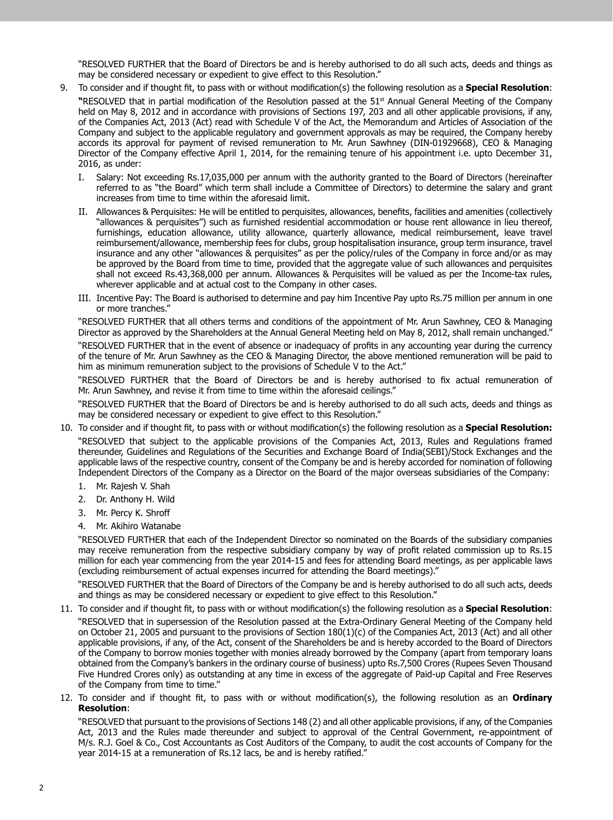"RESOLVED FURTHER that the Board of Directors be and is hereby authorised to do all such acts, deeds and things as may be considered necessary or expedient to give effect to this Resolution."

- 9. To consider and if thought fit, to pass with or without modification(s) the following resolution as a **Special Resolution**: **"**RESOLVED that in partial modification of the Resolution passed at the 51st Annual General Meeting of the Company held on May 8, 2012 and in accordance with provisions of Sections 197, 203 and all other applicable provisions, if any, of the Companies Act, 2013 (Act) read with Schedule V of the Act, the Memorandum and Articles of Association of the Company and subject to the applicable regulatory and government approvals as may be required, the Company hereby accords its approval for payment of revised remuneration to Mr. Arun Sawhney (DIN-01929668), CEO & Managing Director of the Company effective April 1, 2014, for the remaining tenure of his appointment i.e. upto December 31, 2016, as under:
	- I. Salary: Not exceeding Rs.17,035,000 per annum with the authority granted to the Board of Directors (hereinafter referred to as "the Board" which term shall include a Committee of Directors) to determine the salary and grant increases from time to time within the aforesaid limit.
	- II. Allowances & Perquisites: He will be entitled to perquisites, allowances, benefits, facilities and amenities (collectively "allowances & perquisites") such as furnished residential accommodation or house rent allowance in lieu thereof, furnishings, education allowance, utility allowance, quarterly allowance, medical reimbursement, leave travel reimbursement/allowance, membership fees for clubs, group hospitalisation insurance, group term insurance, travel insurance and any other "allowances & perquisites" as per the policy/rules of the Company in force and/or as may be approved by the Board from time to time, provided that the aggregate value of such allowances and perquisites shall not exceed Rs.43,368,000 per annum. Allowances & Perquisites will be valued as per the Income-tax rules, wherever applicable and at actual cost to the Company in other cases.
	- III. Incentive Pay: The Board is authorised to determine and pay him Incentive Pay upto Rs.75 million per annum in one or more tranches."

"RESOLVED FURTHER that all others terms and conditions of the appointment of Mr. Arun Sawhney, CEO & Managing Director as approved by the Shareholders at the Annual General Meeting held on May 8, 2012, shall remain unchanged."

 "RESOLVED FURTHER that in the event of absence or inadequacy of profits in any accounting year during the currency of the tenure of Mr. Arun Sawhney as the CEO & Managing Director, the above mentioned remuneration will be paid to him as minimum remuneration subject to the provisions of Schedule V to the Act."

 "RESOLVED FURTHER that the Board of Directors be and is hereby authorised to fix actual remuneration of Mr. Arun Sawhney, and revise it from time to time within the aforesaid ceilings."

"RESOLVED FURTHER that the Board of Directors be and is hereby authorised to do all such acts, deeds and things as may be considered necessary or expedient to give effect to this Resolution."

- 10. To consider and if thought fit, to pass with or without modification(s) the following resolution as a **Special Resolution:** "RESOLVED that subject to the applicable provisions of the Companies Act, 2013, Rules and Regulations framed thereunder, Guidelines and Regulations of the Securities and Exchange Board of India(SEBI)/Stock Exchanges and the applicable laws of the respective country, consent of the Company be and is hereby accorded for nomination of following Independent Directors of the Company as a Director on the Board of the major overseas subsidiaries of the Company:
	- 1. Mr. Rajesh V. Shah
	- 2. Dr. Anthony H. Wild
	- 3. Mr. Percy K. Shroff
	- 4. Mr. Akihiro Watanabe

"RESOLVED FURTHER that each of the Independent Director so nominated on the Boards of the subsidiary companies may receive remuneration from the respective subsidiary company by way of profit related commission up to Rs.15 million for each year commencing from the year 2014-15 and fees for attending Board meetings, as per applicable laws (excluding reimbursement of actual expenses incurred for attending the Board meetings)."

"RESOLVED FURTHER that the Board of Directors of the Company be and is hereby authorised to do all such acts, deeds and things as may be considered necessary or expedient to give effect to this Resolution."

### 11. To consider and if thought fit, to pass with or without modification(s) the following resolution as a **Special Resolution**:

"RESOLVED that in supersession of the Resolution passed at the Extra-Ordinary General Meeting of the Company held on October 21, 2005 and pursuant to the provisions of Section 180(1)(c) of the Companies Act, 2013 (Act) and all other applicable provisions, if any, of the Act, consent of the Shareholders be and is hereby accorded to the Board of Directors of the Company to borrow monies together with monies already borrowed by the Company (apart from temporary loans obtained from the Company's bankers in the ordinary course of business) upto Rs.7,500 Crores (Rupees Seven Thousand Five Hundred Crores only) as outstanding at any time in excess of the aggregate of Paid-up Capital and Free Reserves of the Company from time to time."

12. To consider and if thought fit, to pass with or without modification(s), the following resolution as an **Ordinary Resolution**:

 "RESOLVED that pursuant to the provisions of Sections 148 (2) and all other applicable provisions, if any, of the Companies Act, 2013 and the Rules made thereunder and subject to approval of the Central Government, re-appointment of M/s. R.J. Goel & Co., Cost Accountants as Cost Auditors of the Company, to audit the cost accounts of Company for the year 2014-15 at a remuneration of Rs.12 lacs, be and is hereby ratified."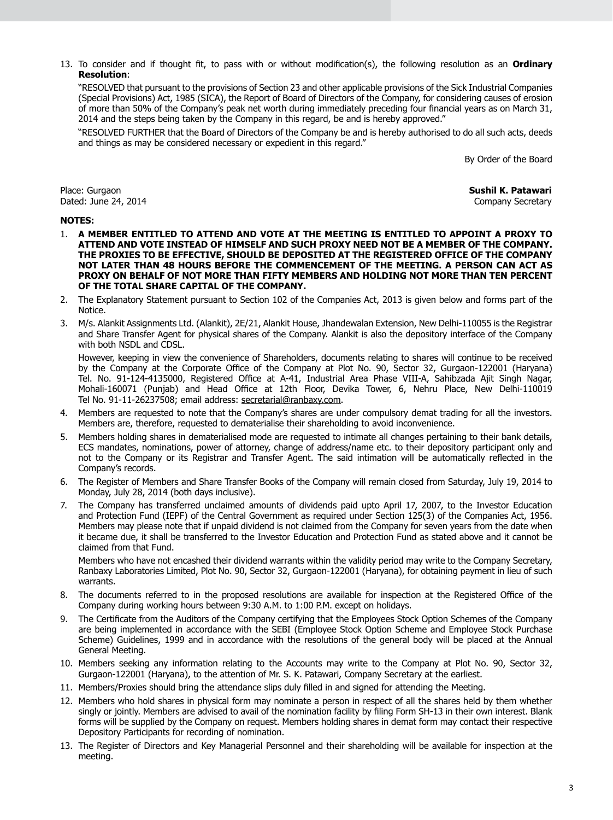13. To consider and if thought fit, to pass with or without modification(s), the following resolution as an **Ordinary Resolution**:

 "RESOLVED that pursuant to the provisions of Section 23 and other applicable provisions of the Sick Industrial Companies (Special Provisions) Act, 1985 (SICA), the Report of Board of Directors of the Company, for considering causes of erosion of more than 50% of the Company's peak net worth during immediately preceding four financial years as on March 31, 2014 and the steps being taken by the Company in this regard, be and is hereby approved."

"RESOLVED FURTHER that the Board of Directors of the Company be and is hereby authorised to do all such acts, deeds and things as may be considered necessary or expedient in this regard."

By Order of the Board

Place: Gurgaon **Sushil K. Patawari** Dated: June 24, 2014

#### **NOTES:**

- 1. **A MEMBER ENTITLED TO ATTEND AND VOTE AT THE MEETING IS ENTITLED TO APPOINT A PROXY TO ATTEND AND VOTE INSTEAD OF HIMSELF AND SUCH PROXY NEED NOT BE A MEMBER OF THE COMPANY. THE PROXIES TO BE EFFECTIVE, SHOULD BE DEPOSITED AT THE REGISTERED OFFICE OF THE COMPANY NOT LATER THAN 48 HOURS BEFORE THE COMMENCEMENT OF THE MEETING. A PERSON CAN ACT AS PROXY ON BEHALF OF NOT MORE THAN FIFTY MEMBERS AND HOLDING NOT MORE THAN TEN PERCENT OF THE TOTAL SHARE CAPITAL OF THE COMPANY.**
- 2. The Explanatory Statement pursuant to Section 102 of the Companies Act, 2013 is given below and forms part of the Notice.
- 3. M/s. Alankit Assignments Ltd. (Alankit), 2E/21, Alankit House, Jhandewalan Extension, New Delhi-110055 is the Registrar and Share Transfer Agent for physical shares of the Company. Alankit is also the depository interface of the Company with both NSDL and CDSL.

However, keeping in view the convenience of Shareholders, documents relating to shares will continue to be received by the Company at the Corporate Office of the Company at Plot No. 90, Sector 32, Gurgaon-122001 (Haryana) Tel. No. 91-124-4135000, Registered Office at A-41, Industrial Area Phase VIII-A, Sahibzada Ajit Singh Nagar, Mohali-160071 (Punjab) and Head Office at 12th Floor, Devika Tower, 6, Nehru Place, New Delhi-110019 Tel No. 91-11-26237508; email address: secretarial@ranbaxy.com.

- 4. Members are requested to note that the Company's shares are under compulsory demat trading for all the investors. Members are, therefore, requested to dematerialise their shareholding to avoid inconvenience.
- 5. Members holding shares in dematerialised mode are requested to intimate all changes pertaining to their bank details, ECS mandates, nominations, power of attorney, change of address/name etc. to their depository participant only and not to the Company or its Registrar and Transfer Agent. The said intimation will be automatically reflected in the Company's records.
- 6. The Register of Members and Share Transfer Books of the Company will remain closed from Saturday, July 19, 2014 to Monday, July 28, 2014 (both days inclusive).
- 7. The Company has transferred unclaimed amounts of dividends paid upto April 17, 2007, to the Investor Education and Protection Fund (IEPF) of the Central Government as required under Section 125(3) of the Companies Act, 1956. Members may please note that if unpaid dividend is not claimed from the Company for seven years from the date when it became due, it shall be transferred to the Investor Education and Protection Fund as stated above and it cannot be claimed from that Fund.

Members who have not encashed their dividend warrants within the validity period may write to the Company Secretary, Ranbaxy Laboratories Limited, Plot No. 90, Sector 32, Gurgaon-122001 (Haryana), for obtaining payment in lieu of such warrants.

- 8. The documents referred to in the proposed resolutions are available for inspection at the Registered Office of the Company during working hours between 9:30 A.M. to 1:00 P.M. except on holidays.
- 9. The Certificate from the Auditors of the Company certifying that the Employees Stock Option Schemes of the Company are being implemented in accordance with the SEBI (Employee Stock Option Scheme and Employee Stock Purchase Scheme) Guidelines, 1999 and in accordance with the resolutions of the general body will be placed at the Annual General Meeting.
- 10. Members seeking any information relating to the Accounts may write to the Company at Plot No. 90, Sector 32, Gurgaon-122001 (Haryana), to the attention of Mr. S. K. Patawari, Company Secretary at the earliest.
- 11. Members/Proxies should bring the attendance slips duly filled in and signed for attending the Meeting.
- 12. Members who hold shares in physical form may nominate a person in respect of all the shares held by them whether singly or jointly. Members are advised to avail of the nomination facility by filing Form SH-13 in their own interest. Blank forms will be supplied by the Company on request. Members holding shares in demat form may contact their respective Depository Participants for recording of nomination.
- 13. The Register of Directors and Key Managerial Personnel and their shareholding will be available for inspection at the meeting.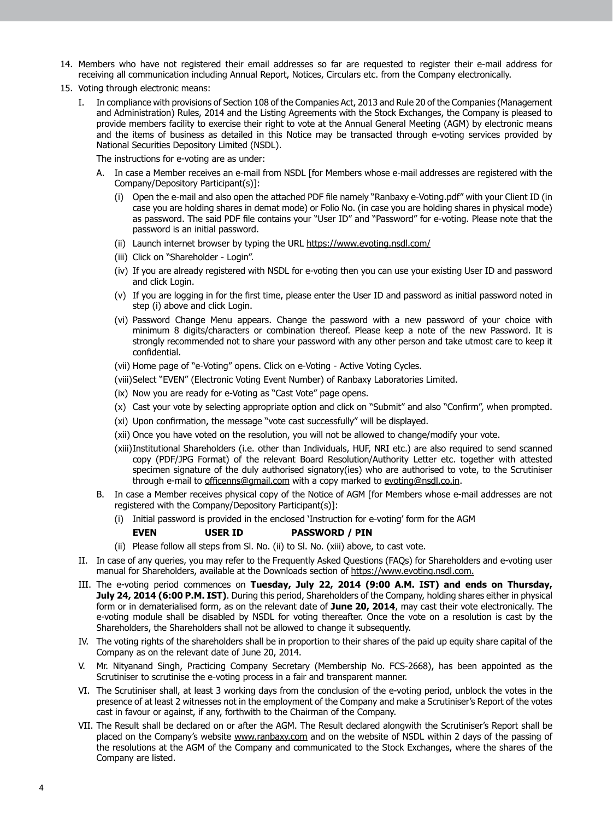- 14. Members who have not registered their email addresses so far are requested to register their e-mail address for receiving all communication including Annual Report, Notices, Circulars etc. from the Company electronically.
- 15. Voting through electronic means:
	- I. In compliance with provisions of Section 108 of the Companies Act, 2013 and Rule 20 of the Companies (Management and Administration) Rules, 2014 and the Listing Agreements with the Stock Exchanges, the Company is pleased to provide members facility to exercise their right to vote at the Annual General Meeting (AGM) by electronic means and the items of business as detailed in this Notice may be transacted through e-voting services provided by National Securities Depository Limited (NSDL).

The instructions for e-voting are as under:

- A. In case a Member receives an e-mail from NSDL [for Members whose e-mail addresses are registered with the Company/Depository Participant(s)]:
	- (i) Open the e-mail and also open the attached PDF file namely "Ranbaxy e-Voting.pdf" with your Client ID (in case you are holding shares in demat mode) or Folio No. (in case you are holding shares in physical mode) as password. The said PDF file contains your "User ID" and "Password" for e-voting. Please note that the password is an initial password.
	- (ii) Launch internet browser by typing the URL https://www.evoting.nsdl.com/
	- (iii) Click on "Shareholder Login".
	- (iv) If you are already registered with NSDL for e-voting then you can use your existing User ID and password and click Login.
	- (v) If you are logging in for the first time, please enter the User ID and password as initial password noted in step (i) above and click Login.
	- (vi) Password Change Menu appears. Change the password with a new password of your choice with minimum 8 digits/characters or combination thereof. Please keep a note of the new Password. It is strongly recommended not to share your password with any other person and take utmost care to keep it confidential.
	- (vii) Home page of "e-Voting" opens. Click on e-Voting Active Voting Cycles.
	- (viii) Select "EVEN" (Electronic Voting Event Number) of Ranbaxy Laboratories Limited.
	- (ix) Now you are ready for e-Voting as "Cast Vote" page opens.
	- (x) Cast your vote by selecting appropriate option and click on "Submit" and also "Confirm", when prompted.
	- (xi) Upon confirmation, the message "vote cast successfully" will be displayed.
	- (xii) Once you have voted on the resolution, you will not be allowed to change/modify your vote.
	- (xiii)Institutional Shareholders (i.e. other than Individuals, HUF, NRI etc.) are also required to send scanned copy (PDF/JPG Format) of the relevant Board Resolution/Authority Letter etc. together with attested specimen signature of the duly authorised signatory(ies) who are authorised to vote, to the Scrutiniser through e-mail to officenns@gmail.com with a copy marked to evoting@nsdl.co.in.
- B. In case a Member receives physical copy of the Notice of AGM [for Members whose e-mail addresses are not registered with the Company/Depository Participant(s)]:
	- (i) Initial password is provided in the enclosed 'Instruction for e-voting' form for the AGM

## **EVEN USER ID PASSWORD / PIN**

- (ii) Please follow all steps from Sl. No. (ii) to Sl. No. (xiii) above, to cast vote.
- II. In case of any queries, you may refer to the Frequently Asked Questions (FAQs) for Shareholders and e-voting user manual for Shareholders, available at the Downloads section of https://www.evoting.nsdl.com.
- III. The e-voting period commences on **Tuesday, July 22, 2014 (9:00 A.M. IST) and ends on Thursday, July 24, 2014 (6:00 P.M. IST)**. During this period, Shareholders of the Company, holding shares either in physical form or in dematerialised form, as on the relevant date of **June 20, 2014**, may cast their vote electronically. The e-voting module shall be disabled by NSDL for voting thereafter. Once the vote on a resolution is cast by the Shareholders, the Shareholders shall not be allowed to change it subsequently.
- IV. The voting rights of the shareholders shall be in proportion to their shares of the paid up equity share capital of the Company as on the relevant date of June 20, 2014.
- V. Mr. Nityanand Singh, Practicing Company Secretary (Membership No. FCS-2668), has been appointed as the Scrutiniser to scrutinise the e-voting process in a fair and transparent manner.
- VI. The Scrutiniser shall, at least 3 working days from the conclusion of the e-voting period, unblock the votes in the presence of at least 2 witnesses not in the employment of the Company and make a Scrutiniser's Report of the votes cast in favour or against, if any, forthwith to the Chairman of the Company.
- VII. The Result shall be declared on or after the AGM. The Result declared alongwith the Scrutiniser's Report shall be placed on the Company's website www.ranbaxy.com and on the website of NSDL within 2 days of the passing of the resolutions at the AGM of the Company and communicated to the Stock Exchanges, where the shares of the Company are listed.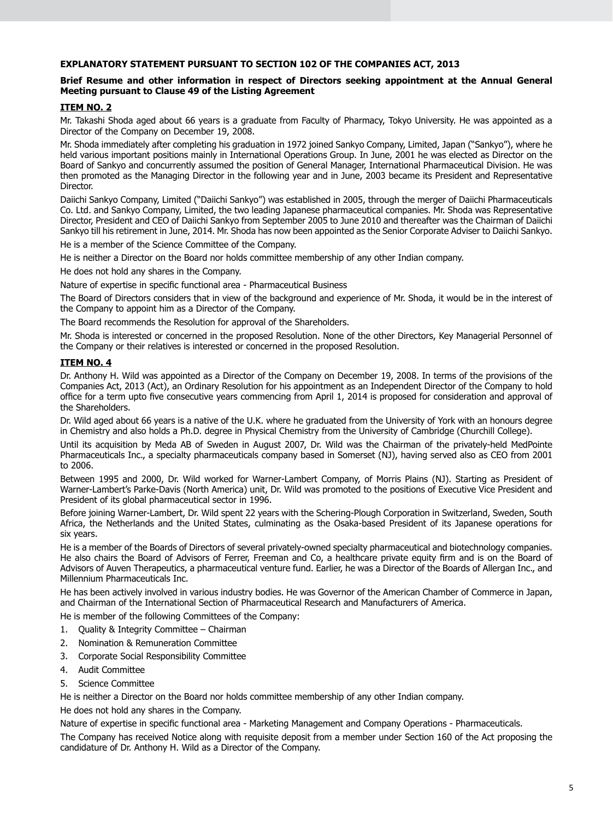# **EXPLANATORY STATEMENT PURSUANT TO SECTION 102 OF THE COMPANIES ACT, 2013**

### **Brief Resume and other information in respect of Directors seeking appointment at the Annual General Meeting pursuant to Clause 49 of the Listing Agreement**

# **ITEM NO. 2**

Mr. Takashi Shoda aged about 66 years is a graduate from Faculty of Pharmacy, Tokyo University. He was appointed as a Director of the Company on December 19, 2008.

Mr. Shoda immediately after completing his graduation in 1972 joined Sankyo Company, Limited, Japan ("Sankyo"), where he held various important positions mainly in International Operations Group. In June, 2001 he was elected as Director on the Board of Sankyo and concurrently assumed the position of General Manager, International Pharmaceutical Division. He was then promoted as the Managing Director in the following year and in June, 2003 became its President and Representative Director.

Daiichi Sankyo Company, Limited ("Daiichi Sankyo") was established in 2005, through the merger of Daiichi Pharmaceuticals Co. Ltd. and Sankyo Company, Limited, the two leading Japanese pharmaceutical companies. Mr. Shoda was Representative Director, President and CEO of Daiichi Sankyo from September 2005 to June 2010 and thereafter was the Chairman of Daiichi Sankyo till his retirement in June, 2014. Mr. Shoda has now been appointed as the Senior Corporate Adviser to Daiichi Sankyo.

He is a member of the Science Committee of the Company.

He is neither a Director on the Board nor holds committee membership of any other Indian company.

He does not hold any shares in the Company.

Nature of expertise in specific functional area - Pharmaceutical Business

The Board of Directors considers that in view of the background and experience of Mr. Shoda, it would be in the interest of the Company to appoint him as a Director of the Company.

The Board recommends the Resolution for approval of the Shareholders.

Mr. Shoda is interested or concerned in the proposed Resolution. None of the other Directors, Key Managerial Personnel of the Company or their relatives is interested or concerned in the proposed Resolution.

# **ITEM NO. 4**

Dr. Anthony H. Wild was appointed as a Director of the Company on December 19, 2008. In terms of the provisions of the Companies Act, 2013 (Act), an Ordinary Resolution for his appointment as an Independent Director of the Company to hold office for a term upto five consecutive years commencing from April 1, 2014 is proposed for consideration and approval of the Shareholders.

Dr. Wild aged about 66 years is a native of the U.K. where he graduated from the University of York with an honours degree in Chemistry and also holds a Ph.D. degree in Physical Chemistry from the University of Cambridge (Churchill College).

Until its acquisition by Meda AB of Sweden in August 2007, Dr. Wild was the Chairman of the privately-held MedPointe Pharmaceuticals Inc., a specialty pharmaceuticals company based in Somerset (NJ), having served also as CEO from 2001 to 2006.

Between 1995 and 2000, Dr. Wild worked for Warner-Lambert Company, of Morris Plains (NJ). Starting as President of Warner-Lambert's Parke-Davis (North America) unit, Dr. Wild was promoted to the positions of Executive Vice President and President of its global pharmaceutical sector in 1996.

Before joining Warner-Lambert, Dr. Wild spent 22 years with the Schering-Plough Corporation in Switzerland, Sweden, South Africa, the Netherlands and the United States, culminating as the Osaka-based President of its Japanese operations for six years.

He is a member of the Boards of Directors of several privately-owned specialty pharmaceutical and biotechnology companies. He also chairs the Board of Advisors of Ferrer, Freeman and Co, a healthcare private equity firm and is on the Board of Advisors of Auven Therapeutics, a pharmaceutical venture fund. Earlier, he was a Director of the Boards of Allergan Inc., and Millennium Pharmaceuticals Inc.

He has been actively involved in various industry bodies. He was Governor of the American Chamber of Commerce in Japan, and Chairman of the International Section of Pharmaceutical Research and Manufacturers of America.

He is member of the following Committees of the Company:

- 1. Quality & Integrity Committee Chairman
- 2. Nomination & Remuneration Committee
- 3. Corporate Social Responsibility Committee
- 4. Audit Committee
- 5. Science Committee

He is neither a Director on the Board nor holds committee membership of any other Indian company.

He does not hold any shares in the Company.

Nature of expertise in specific functional area - Marketing Management and Company Operations - Pharmaceuticals.

The Company has received Notice along with requisite deposit from a member under Section 160 of the Act proposing the candidature of Dr. Anthony H. Wild as a Director of the Company.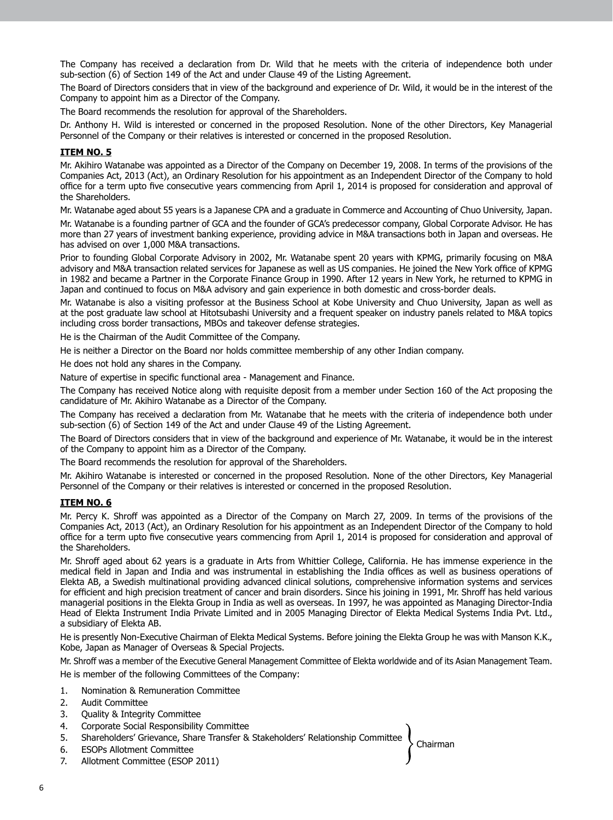The Company has received a declaration from Dr. Wild that he meets with the criteria of independence both under sub-section (6) of Section 149 of the Act and under Clause 49 of the Listing Agreement.

The Board of Directors considers that in view of the background and experience of Dr. Wild, it would be in the interest of the Company to appoint him as a Director of the Company.

The Board recommends the resolution for approval of the Shareholders.

Dr. Anthony H. Wild is interested or concerned in the proposed Resolution. None of the other Directors, Key Managerial Personnel of the Company or their relatives is interested or concerned in the proposed Resolution.

## **ITEM NO. 5**

Mr. Akihiro Watanabe was appointed as a Director of the Company on December 19, 2008. In terms of the provisions of the Companies Act, 2013 (Act), an Ordinary Resolution for his appointment as an Independent Director of the Company to hold office for a term upto five consecutive years commencing from April 1, 2014 is proposed for consideration and approval of the Shareholders.

Mr. Watanabe aged about 55 years is a Japanese CPA and a graduate in Commerce and Accounting of Chuo University, Japan.

Mr. Watanabe is a founding partner of GCA and the founder of GCA's predecessor company, Global Corporate Advisor. He has more than 27 years of investment banking experience, providing advice in M&A transactions both in Japan and overseas. He has advised on over 1,000 M&A transactions.

Prior to founding Global Corporate Advisory in 2002, Mr. Watanabe spent 20 years with KPMG, primarily focusing on M&A advisory and M&A transaction related services for Japanese as well as US companies. He joined the New York office of KPMG in 1982 and became a Partner in the Corporate Finance Group in 1990. After 12 years in New York, he returned to KPMG in Japan and continued to focus on M&A advisory and gain experience in both domestic and cross-border deals.

Mr. Watanabe is also a visiting professor at the Business School at Kobe University and Chuo University, Japan as well as at the post graduate law school at Hitotsubashi University and a frequent speaker on industry panels related to M&A topics including cross border transactions, MBOs and takeover defense strategies.

He is the Chairman of the Audit Committee of the Company.

He is neither a Director on the Board nor holds committee membership of any other Indian company.

He does not hold any shares in the Company.

Nature of expertise in specific functional area - Management and Finance.

The Company has received Notice along with requisite deposit from a member under Section 160 of the Act proposing the candidature of Mr. Akihiro Watanabe as a Director of the Company.

The Company has received a declaration from Mr. Watanabe that he meets with the criteria of independence both under sub-section (6) of Section 149 of the Act and under Clause 49 of the Listing Agreement.

The Board of Directors considers that in view of the background and experience of Mr. Watanabe, it would be in the interest of the Company to appoint him as a Director of the Company.

The Board recommends the resolution for approval of the Shareholders.

Mr. Akihiro Watanabe is interested or concerned in the proposed Resolution. None of the other Directors, Key Managerial Personnel of the Company or their relatives is interested or concerned in the proposed Resolution.

#### **ITEM NO. 6**

Mr. Percy K. Shroff was appointed as a Director of the Company on March 27, 2009. In terms of the provisions of the Companies Act, 2013 (Act), an Ordinary Resolution for his appointment as an Independent Director of the Company to hold office for a term upto five consecutive years commencing from April 1, 2014 is proposed for consideration and approval of the Shareholders.

Mr. Shroff aged about 62 years is a graduate in Arts from Whittier College, California. He has immense experience in the medical field in Japan and India and was instrumental in establishing the India offices as well as business operations of Elekta AB, a Swedish multinational providing advanced clinical solutions, comprehensive information systems and services for efficient and high precision treatment of cancer and brain disorders. Since his joining in 1991, Mr. Shroff has held various managerial positions in the Elekta Group in India as well as overseas. In 1997, he was appointed as Managing Director-India Head of Elekta Instrument India Private Limited and in 2005 Managing Director of Elekta Medical Systems India Pvt. Ltd., a subsidiary of Elekta AB.

He is presently Non-Executive Chairman of Elekta Medical Systems. Before joining the Elekta Group he was with Manson K.K., Kobe, Japan as Manager of Overseas & Special Projects.

Mr. Shroff was a member of the Executive General Management Committee of Elekta worldwide and of its Asian Management Team.

He is member of the following Committees of the Company:

- 1. Nomination & Remuneration Committee
- 2. Audit Committee
- 3. Quality & Integrity Committee
- 4. Corporate Social Responsibility Committee
- Chairman 5. Shareholders' Grievance, Share Transfer & Stakeholders' Relationship Committee
- 6. ESOPs Allotment Committee
- 7. Allotment Committee (ESOP 2011)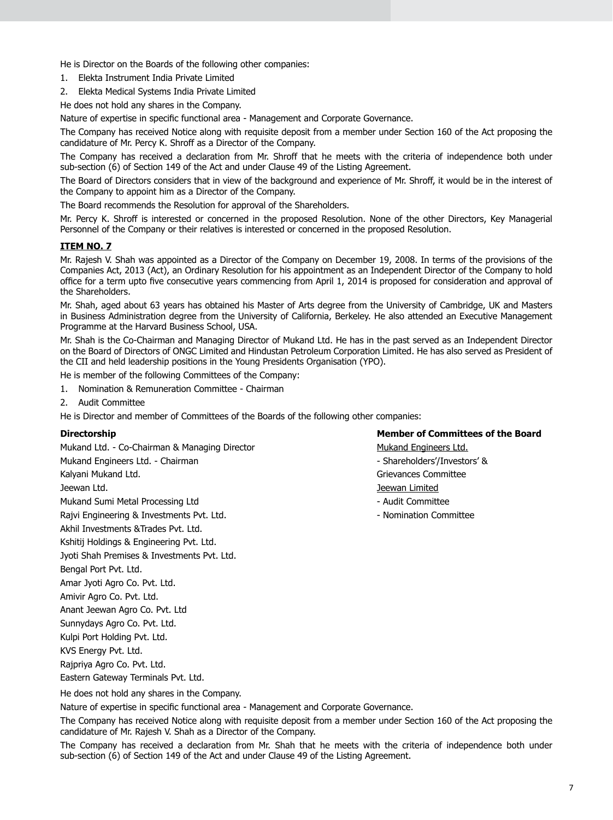He is Director on the Boards of the following other companies:

- 1. Elekta Instrument India Private Limited
- 2. Elekta Medical Systems India Private Limited

He does not hold any shares in the Company.

Nature of expertise in specific functional area - Management and Corporate Governance.

The Company has received Notice along with requisite deposit from a member under Section 160 of the Act proposing the candidature of Mr. Percy K. Shroff as a Director of the Company.

The Company has received a declaration from Mr. Shroff that he meets with the criteria of independence both under sub-section (6) of Section 149 of the Act and under Clause 49 of the Listing Agreement.

The Board of Directors considers that in view of the background and experience of Mr. Shroff, it would be in the interest of the Company to appoint him as a Director of the Company.

The Board recommends the Resolution for approval of the Shareholders.

Mr. Percy K. Shroff is interested or concerned in the proposed Resolution. None of the other Directors, Key Managerial Personnel of the Company or their relatives is interested or concerned in the proposed Resolution.

#### **ITEM NO. 7**

Mr. Rajesh V. Shah was appointed as a Director of the Company on December 19, 2008. In terms of the provisions of the Companies Act, 2013 (Act), an Ordinary Resolution for his appointment as an Independent Director of the Company to hold office for a term upto five consecutive years commencing from April 1, 2014 is proposed for consideration and approval of the Shareholders.

Mr. Shah, aged about 63 years has obtained his Master of Arts degree from the University of Cambridge, UK and Masters in Business Administration degree from the University of California, Berkeley. He also attended an Executive Management Programme at the Harvard Business School, USA.

Mr. Shah is the Co-Chairman and Managing Director of Mukand Ltd. He has in the past served as an Independent Director on the Board of Directors of ONGC Limited and Hindustan Petroleum Corporation Limited. He has also served as President of the CII and held leadership positions in the Young Presidents Organisation (YPO).

He is member of the following Committees of the Company:

- 1. Nomination & Remuneration Committee Chairman
- 2. Audit Committee

He is Director and member of Committees of the Boards of the following other companies:

Mukand Ltd. - Co-Chairman & Managing Director Mukand Engineers Ltd. Mukand Engineers Ltd. - Chairman - Shareholders'/Investors' & Shareholders'/Investors' & Kalyani Mukand Ltd. Grievances Committee Jeewan Ltd. Jeewan Limited Mukand Sumi Metal Processing Ltd - Audit Committee - Audit Committee Rajvi Engineering & Investments Pvt. Ltd. Now a Nomination Committee Akhil Investments &Trades Pvt. Ltd. Kshitij Holdings & Engineering Pvt. Ltd. Jyoti Shah Premises & Investments Pvt. Ltd. Bengal Port Pvt. Ltd. Amar Jyoti Agro Co. Pvt. Ltd. Amivir Agro Co. Pvt. Ltd. Anant Jeewan Agro Co. Pvt. Ltd Sunnydays Agro Co. Pvt. Ltd. Kulpi Port Holding Pvt. Ltd. KVS Energy Pvt. Ltd.

Rajpriya Agro Co. Pvt. Ltd.

Eastern Gateway Terminals Pvt. Ltd.

He does not hold any shares in the Company.

Nature of expertise in specific functional area - Management and Corporate Governance.

The Company has received Notice along with requisite deposit from a member under Section 160 of the Act proposing the candidature of Mr. Rajesh V. Shah as a Director of the Company.

The Company has received a declaration from Mr. Shah that he meets with the criteria of independence both under sub-section (6) of Section 149 of the Act and under Clause 49 of the Listing Agreement.

# **Directorship Member of Committees of the Board**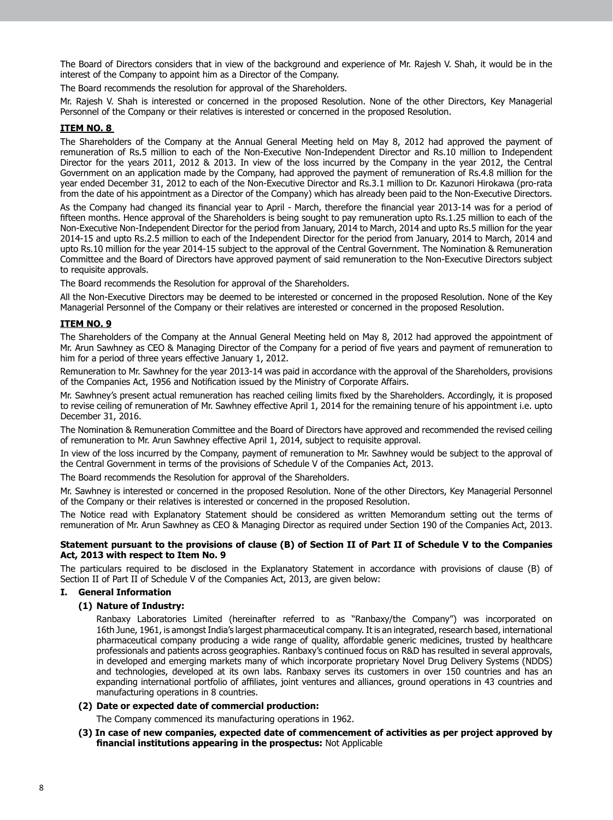The Board of Directors considers that in view of the background and experience of Mr. Rajesh V. Shah, it would be in the interest of the Company to appoint him as a Director of the Company.

The Board recommends the resolution for approval of the Shareholders.

Mr. Rajesh V. Shah is interested or concerned in the proposed Resolution. None of the other Directors, Key Managerial Personnel of the Company or their relatives is interested or concerned in the proposed Resolution.

# **ITEM NO. 8**

The Shareholders of the Company at the Annual General Meeting held on May 8, 2012 had approved the payment of remuneration of Rs.5 million to each of the Non-Executive Non-Independent Director and Rs.10 million to Independent Director for the years 2011, 2012 & 2013. In view of the loss incurred by the Company in the year 2012, the Central Government on an application made by the Company, had approved the payment of remuneration of Rs.4.8 million for the year ended December 31, 2012 to each of the Non-Executive Director and Rs.3.1 million to Dr. Kazunori Hirokawa (pro-rata from the date of his appointment as a Director of the Company) which has already been paid to the Non-Executive Directors.

As the Company had changed its financial year to April - March, therefore the financial year 2013-14 was for a period of fifteen months. Hence approval of the Shareholders is being sought to pay remuneration upto Rs.1.25 million to each of the Non-Executive Non-Independent Director for the period from January, 2014 to March, 2014 and upto Rs.5 million for the year 2014-15 and upto Rs.2.5 million to each of the Independent Director for the period from January, 2014 to March, 2014 and upto Rs.10 million for the year 2014-15 subject to the approval of the Central Government. The Nomination & Remuneration Committee and the Board of Directors have approved payment of said remuneration to the Non-Executive Directors subject to requisite approvals.

The Board recommends the Resolution for approval of the Shareholders.

All the Non-Executive Directors may be deemed to be interested or concerned in the proposed Resolution. None of the Key Managerial Personnel of the Company or their relatives are interested or concerned in the proposed Resolution.

# **ITEM NO. 9**

The Shareholders of the Company at the Annual General Meeting held on May 8, 2012 had approved the appointment of Mr. Arun Sawhney as CEO & Managing Director of the Company for a period of five years and payment of remuneration to him for a period of three years effective January 1, 2012.

Remuneration to Mr. Sawhney for the year 2013-14 was paid in accordance with the approval of the Shareholders, provisions of the Companies Act, 1956 and Notification issued by the Ministry of Corporate Affairs.

Mr. Sawhney's present actual remuneration has reached ceiling limits fixed by the Shareholders. Accordingly, it is proposed to revise ceiling of remuneration of Mr. Sawhney effective April 1, 2014 for the remaining tenure of his appointment i.e. upto December 31, 2016.

The Nomination & Remuneration Committee and the Board of Directors have approved and recommended the revised ceiling of remuneration to Mr. Arun Sawhney effective April 1, 2014, subject to requisite approval.

In view of the loss incurred by the Company, payment of remuneration to Mr. Sawhney would be subject to the approval of the Central Government in terms of the provisions of Schedule V of the Companies Act, 2013.

The Board recommends the Resolution for approval of the Shareholders.

Mr. Sawhney is interested or concerned in the proposed Resolution. None of the other Directors, Key Managerial Personnel of the Company or their relatives is interested or concerned in the proposed Resolution.

The Notice read with Explanatory Statement should be considered as written Memorandum setting out the terms of remuneration of Mr. Arun Sawhney as CEO & Managing Director as required under Section 190 of the Companies Act, 2013.

#### **Statement pursuant to the provisions of clause (B) of Section II of Part II of Schedule V to the Companies Act, 2013 with respect to Item No. 9**

The particulars required to be disclosed in the Explanatory Statement in accordance with provisions of clause (B) of Section II of Part II of Schedule V of the Companies Act, 2013, are given below:

### **I. General Information**

### **(1) Nature of Industry:**

 Ranbaxy Laboratories Limited (hereinafter referred to as "Ranbaxy/the Company") was incorporated on 16th June, 1961, is amongst India's largest pharmaceutical company. It is an integrated, research based, international pharmaceutical company producing a wide range of quality, affordable generic medicines, trusted by healthcare professionals and patients across geographies. Ranbaxy's continued focus on R&D has resulted in several approvals, in developed and emerging markets many of which incorporate proprietary Novel Drug Delivery Systems (NDDS) and technologies, developed at its own labs. Ranbaxy serves its customers in over 150 countries and has an expanding international portfolio of affiliates, joint ventures and alliances, ground operations in 43 countries and manufacturing operations in 8 countries.

# **(2) Date or expected date of commercial production:**

 The Company commenced its manufacturing operations in 1962.

**(3) In case of new companies, expected date of commencement of activities as per project approved by financial institutions appearing in the prospectus:** Not Applicable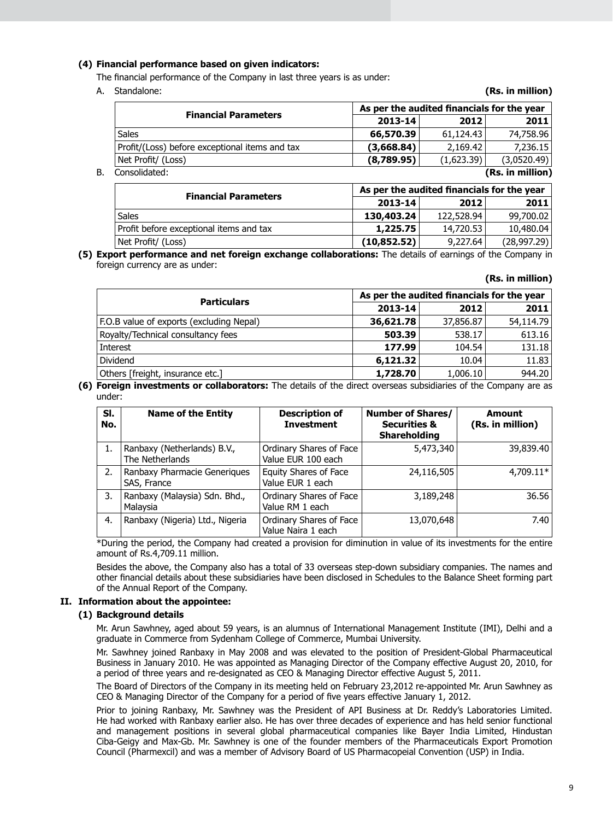# **(4) Financial performance based on given indicators:**

 The financial performance of the Company in last three years is as under:

A. Standalone: **(Rs. in million)**

|                                                |            | As per the audited financials for the year |                  |  |
|------------------------------------------------|------------|--------------------------------------------|------------------|--|
| <b>Financial Parameters</b>                    | 2013-14    | 2012                                       | 2011             |  |
| <b>Sales</b>                                   | 66,570.39  | 61,124.43                                  | 74,758.96        |  |
| Profit/(Loss) before exceptional items and tax | (3,668.84) | 2.169.42                                   | 7,236.15         |  |
| Net Profit/ (Loss)                             | (8,789.95) | (1,623.39)                                 | (3,0520.49)      |  |
| Consolidated:<br>В.                            |            |                                            | (Rs. in million) |  |

| <b>Financial Parameters</b>             |             | As per the audited financials for the year |             |  |
|-----------------------------------------|-------------|--------------------------------------------|-------------|--|
|                                         | $2013 - 14$ | 2012                                       | 2011        |  |
| <b>Sales</b>                            | 130,403.24  | 122,528.94                                 | 99,700.02   |  |
| Profit before exceptional items and tax | 1,225.75    | 14,720.53                                  | 10,480.04   |  |
| Net Profit/ (Loss)                      | (10,852.52) | 9,227,64                                   | (28,997.29) |  |

**(5) Export performance and net foreign exchange collaborations:** The details of earnings of the Company in foreign currency are as under:

#### **(Rs. in million)**

| <b>Particulars</b>                       | As per the audited financials for the year |           |           |
|------------------------------------------|--------------------------------------------|-----------|-----------|
|                                          | 2013-14                                    | 2012      | 2011      |
| F.O.B value of exports (excluding Nepal) | 36,621.78                                  | 37,856.87 | 54,114.79 |
| Royalty/Technical consultancy fees       | 503.39                                     | 538.17    | 613.16    |
| Interest                                 | 177.99                                     | 104.54    | 131.18    |
| Dividend                                 | 6,121.32                                   | 10.04     | 11.83     |
| Others [freight, insurance etc.]         | 1,728.70                                   | 1,006.10  | 944.20    |

**(6) Foreign investments or collaborators:** The details of the direct overseas subsidiaries of the Company are as under:

| SI.<br>No. | <b>Name of the Entity</b>                      | <b>Description of</b><br><b>Investment</b>    | <b>Number of Shares/</b><br><b>Securities &amp;</b><br><b>Shareholding</b> | Amount<br>(Rs. in million) |
|------------|------------------------------------------------|-----------------------------------------------|----------------------------------------------------------------------------|----------------------------|
| 1.         | Ranbaxy (Netherlands) B.V.,<br>The Netherlands | Ordinary Shares of Face<br>Value EUR 100 each | 5,473,340                                                                  | 39,839.40                  |
| 2.         | Ranbaxy Pharmacie Generiques<br>SAS, France    | Equity Shares of Face<br>Value EUR 1 each     | 24,116,505                                                                 | $4.709.11*$                |
| 3.         | Ranbaxy (Malaysia) Sdn. Bhd.,<br>Malaysia      | Ordinary Shares of Face<br>Value RM 1 each    | 3,189,248                                                                  | 36.56                      |
| 4.         | Ranbaxy (Nigeria) Ltd., Nigeria                | Ordinary Shares of Face<br>Value Naira 1 each | 13,070,648                                                                 | 7.40                       |

 \*During the period, the Company had created a provision for diminution in value of its investments for the entire amount of Rs.4,709.11 million.

 Besides the above, the Company also has a total of 33 overseas step-down subsidiary companies. The names and other financial details about these subsidiaries have been disclosed in Schedules to the Balance Sheet forming part of the Annual Report of the Company.

#### **II. Information about the appointee:**

### **(1) Background details**

 Mr. Arun Sawhney, aged about 59 years, is an alumnus of International Management Institute (IMI), Delhi and a graduate in Commerce from Sydenham College of Commerce, Mumbai University.

 Mr. Sawhney joined Ranbaxy in May 2008 and was elevated to the position of President-Global Pharmaceutical Business in January 2010. He was appointed as Managing Director of the Company effective August 20, 2010, for a period of three years and re-designated as CEO & Managing Director effective August 5, 2011.

 The Board of Directors of the Company in its meeting held on February 23,2012 re-appointed Mr. Arun Sawhney as CEO & Managing Director of the Company for a period of five years effective January 1, 2012.

Prior to joining Ranbaxy, Mr. Sawhney was the President of API Business at Dr. Reddy's Laboratories Limited. He had worked with Ranbaxy earlier also. He has over three decades of experience and has held senior functional and management positions in several global pharmaceutical companies like Bayer India Limited, Hindustan Ciba-Geigy and Max-Gb. Mr. Sawhney is one of the founder members of the Pharmaceuticals Export Promotion Council (Pharmexcil) and was a member of Advisory Board of US Pharmacopeial Convention (USP) in India.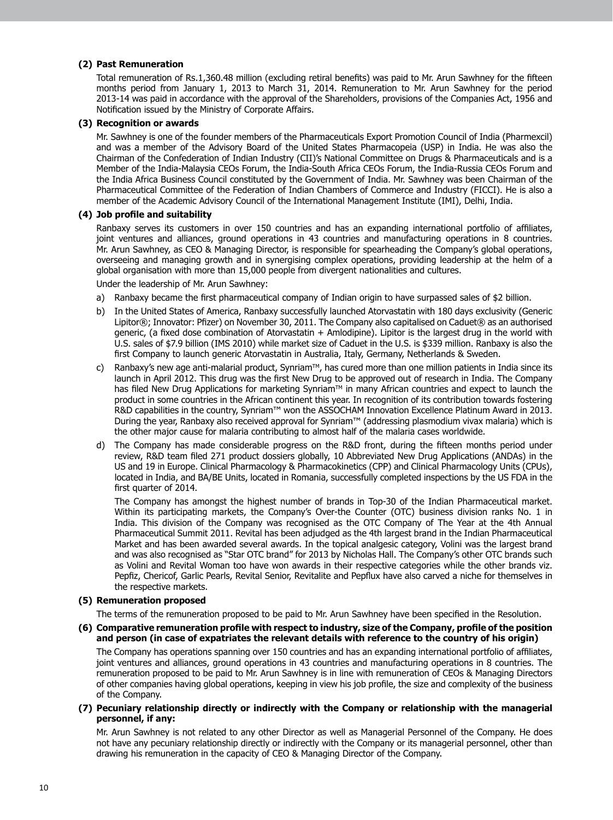#### **(2) Past Remuneration**

Total remuneration of Rs.1,360.48 million (excluding retiral benefits) was paid to Mr. Arun Sawhney for the fifteen months period from January 1, 2013 to March 31, 2014. Remuneration to Mr. Arun Sawhney for the period 2013-14 was paid in accordance with the approval of the Shareholders, provisions of the Companies Act, 1956 and Notification issued by the Ministry of Corporate Affairs.

## **(3) Recognition or awards**

Mr. Sawhney is one of the founder members of the Pharmaceuticals Export Promotion Council of India (Pharmexcil) and was a member of the Advisory Board of the United States Pharmacopeia (USP) in India. He was also the Chairman of the Confederation of Indian Industry (CII)'s National Committee on Drugs & Pharmaceuticals and is a Member of the India-Malaysia CEOs Forum, the India-South Africa CEOs Forum, the India-Russia CEOs Forum and the India Africa Business Council constituted by the Government of India. Mr. Sawhney was been Chairman of the Pharmaceutical Committee of the Federation of Indian Chambers of Commerce and Industry (FICCI). He is also a member of the Academic Advisory Council of the International Management Institute (IMI), Delhi, India.

#### **(4) Job profile and suitability**

 Ranbaxy serves its customers in over 150 countries and has an expanding international portfolio of affiliates, joint ventures and alliances, ground operations in 43 countries and manufacturing operations in 8 countries. Mr. Arun Sawhney, as CEO & Managing Director, is responsible for spearheading the Company's global operations, overseeing and managing growth and in synergising complex operations, providing leadership at the helm of a global organisation with more than 15,000 people from divergent nationalities and cultures.

Under the leadership of Mr. Arun Sawhney:

- a) Ranbaxy became the first pharmaceutical company of Indian origin to have surpassed sales of  $$2$  billion.
- b) In the United States of America, Ranbaxy successfully launched Atorvastatin with 180 days exclusivity (Generic Lipitor®; Innovator: Pfizer) on November 30, 2011. The Company also capitalised on Caduet® as an authorised generic, (a fixed dose combination of Atorvastatin + Amlodipine). Lipitor is the largest drug in the world with U.S. sales of \$7.9 billion (IMS 2010) while market size of Caduet in the U.S. is \$339 million. Ranbaxy is also the first Company to launch generic Atorvastatin in Australia, Italy, Germany, Netherlands & Sweden.
- c) Ranbaxy's new age anti-malarial product, Synriam $M$ , has cured more than one million patients in India since its launch in April 2012. This drug was the first New Drug to be approved out of research in India. The Company has filed New Drug Applications for marketing Synriam™ in many African countries and expect to launch the product in some countries in the African continent this year. In recognition of its contribution towards fostering R&D capabilities in the country, Synriam™ won the ASSOCHAM Innovation Excellence Platinum Award in 2013. During the year, Ranbaxy also received approval for Synriam™ (addressing plasmodium vivax malaria) which is the other major cause for malaria contributing to almost half of the malaria cases worldwide.
- d) The Company has made considerable progress on the R&D front, during the fifteen months period under review, R&D team filed 271 product dossiers globally, 10 Abbreviated New Drug Applications (ANDAs) in the US and 19 in Europe. Clinical Pharmacology & Pharmacokinetics (CPP) and Clinical Pharmacology Units (CPUs), located in India, and BA/BE Units, located in Romania, successfully completed inspections by the US FDA in the first quarter of 2014.

 The Company has amongst the highest number of brands in Top-30 of the Indian Pharmaceutical market. Within its participating markets, the Company's Over-the Counter (OTC) business division ranks No. 1 in India. This division of the Company was recognised as the OTC Company of The Year at the 4th Annual Pharmaceutical Summit 2011. Revital has been adjudged as the 4th largest brand in the Indian Pharmaceutical Market and has been awarded several awards. In the topical analgesic category, Volini was the largest brand and was also recognised as "Star OTC brand" for 2013 by Nicholas Hall. The Company's other OTC brands such as Volini and Revital Woman too have won awards in their respective categories while the other brands viz. Pepfiz, Chericof, Garlic Pearls, Revital Senior, Revitalite and Pepflux have also carved a niche for themselves in the respective markets.

#### **(5) Remuneration proposed**

 The terms of the remuneration proposed to be paid to Mr. Arun Sawhney have been specified in the Resolution.

**(6) Comparative remuneration profile with respect to industry, size of the Company, profile of the position and person (in case of expatriates the relevant details with reference to the country of his origin)**

 The Company has operations spanning over 150 countries and has an expanding international portfolio of affiliates, joint ventures and alliances, ground operations in 43 countries and manufacturing operations in 8 countries. The remuneration proposed to be paid to Mr. Arun Sawhney is in line with remuneration of CEOs & Managing Directors of other companies having global operations, keeping in view his job profile, the size and complexity of the business of the Company.

**(7) Pecuniary relationship directly or indirectly with the Company or relationship with the managerial personnel, if any:**

Mr. Arun Sawhney is not related to any other Director as well as Managerial Personnel of the Company. He does not have any pecuniary relationship directly or indirectly with the Company or its managerial personnel, other than drawing his remuneration in the capacity of CEO & Managing Director of the Company.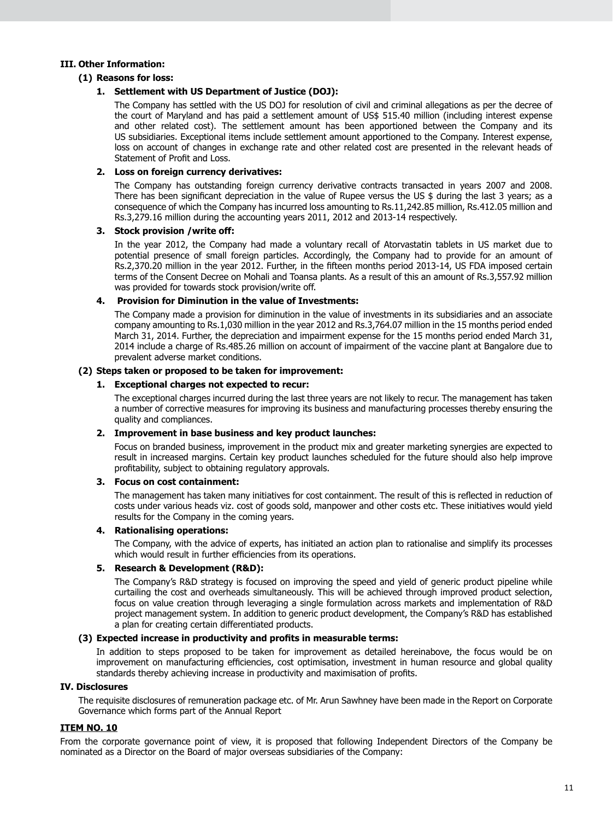### **III. Other Information:**

# **(1) Reasons for loss:**

# **1. Settlement with US Department of Justice (DOJ):**

The Company has settled with the US DOJ for resolution of civil and criminal allegations as per the decree of the court of Maryland and has paid a settlement amount of US\$ 515.40 million (including interest expense and other related cost). The settlement amount has been apportioned between the Company and its US subsidiaries. Exceptional items include settlement amount apportioned to the Company. Interest expense, loss on account of changes in exchange rate and other related cost are presented in the relevant heads of Statement of Profit and Loss.

## **2. Loss on foreign currency derivatives:**

The Company has outstanding foreign currency derivative contracts transacted in years 2007 and 2008. There has been significant depreciation in the value of Rupee versus the US \$ during the last 3 years; as a consequence of which the Company has incurred loss amounting to Rs.11,242.85 million, Rs.412.05 million and Rs.3,279.16 million during the accounting years 2011, 2012 and 2013-14 respectively.

### **3. Stock provision /write off:**

In the year 2012, the Company had made a voluntary recall of Atorvastatin tablets in US market due to potential presence of small foreign particles. Accordingly, the Company had to provide for an amount of Rs.2,370.20 million in the year 2012. Further, in the fifteen months period 2013-14, US FDA imposed certain terms of the Consent Decree on Mohali and Toansa plants. As a result of this an amount of Rs.3,557.92 million was provided for towards stock provision/write off.

### **4. Provision for Diminution in the value of Investments:**

The Company made a provision for diminution in the value of investments in its subsidiaries and an associate company amounting to Rs.1,030 million in the year 2012 and Rs.3,764.07 million in the 15 months period ended March 31, 2014. Further, the depreciation and impairment expense for the 15 months period ended March 31, 2014 include a charge of Rs.485.26 million on account of impairment of the vaccine plant at Bangalore due to prevalent adverse market conditions.

# **(2) Steps taken or proposed to be taken for improvement:**

### **1. Exceptional charges not expected to recur:**

The exceptional charges incurred during the last three years are not likely to recur. The management has taken a number of corrective measures for improving its business and manufacturing processes thereby ensuring the quality and compliances.

# **2. Improvement in base business and key product launches:**

Focus on branded business, improvement in the product mix and greater marketing synergies are expected to result in increased margins. Certain key product launches scheduled for the future should also help improve profitability, subject to obtaining regulatory approvals.

### **3. Focus on cost containment:**

The management has taken many initiatives for cost containment. The result of this is reflected in reduction of costs under various heads viz. cost of goods sold, manpower and other costs etc. These initiatives would yield results for the Company in the coming years.

# **4. Rationalising operations:**

The Company, with the advice of experts, has initiated an action plan to rationalise and simplify its processes which would result in further efficiencies from its operations.

# **5. Research & Development (R&D):**

The Company's R&D strategy is focused on improving the speed and yield of generic product pipeline while curtailing the cost and overheads simultaneously. This will be achieved through improved product selection, focus on value creation through leveraging a single formulation across markets and implementation of R&D project management system. In addition to generic product development, the Company's R&D has established a plan for creating certain differentiated products.

# **(3) Expected increase in productivity and profits in measurable terms:**

In addition to steps proposed to be taken for improvement as detailed hereinabove, the focus would be on improvement on manufacturing efficiencies, cost optimisation, investment in human resource and global quality standards thereby achieving increase in productivity and maximisation of profits.

# **IV. Disclosures**

The requisite disclosures of remuneration package etc. of Mr. Arun Sawhney have been made in the Report on Corporate Governance which forms part of the Annual Report

# **ITEM NO. 10**

From the corporate governance point of view, it is proposed that following Independent Directors of the Company be nominated as a Director on the Board of major overseas subsidiaries of the Company: